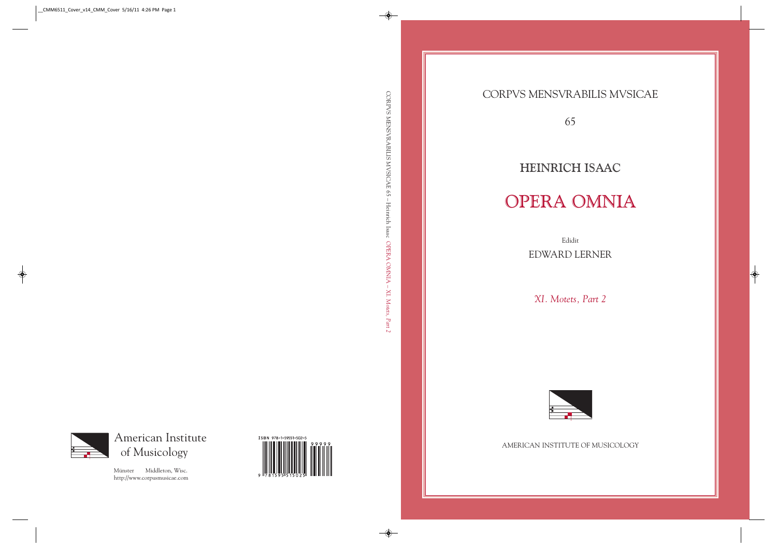CORPVS MENSVRABILIS MVSICAE

65

## HEINRICH ISAAC

# OPERA OMNIA

Edidit EDWARD LERNER

*XI. Motets, Part 2*



AMERICAN INSTITUTE OF MUSICOLOGY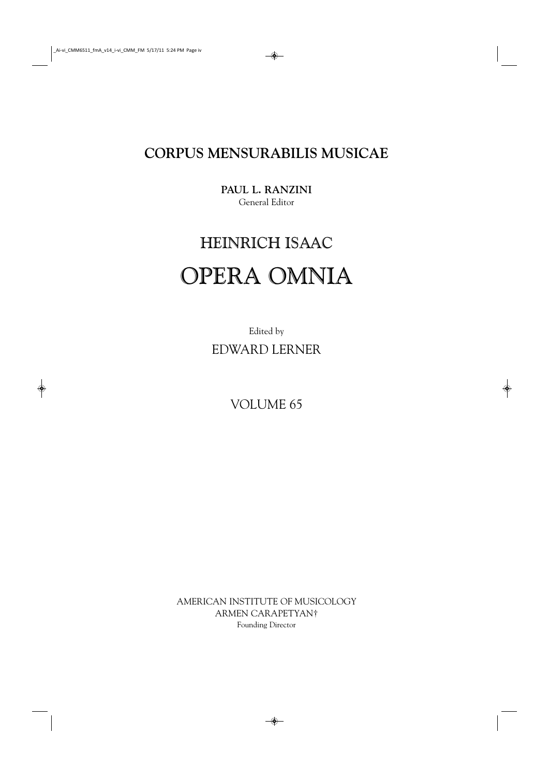**CORPUS MENSURABILIS MUSICAE**

**PAUL L. RANZINI** General Editor

# HEINRICH ISAAC OPERA OMNIA

Edited by EDWARD LERNER

VOLUME 65

AMERICAN INSTITUTE OF MUSICOLOGY ARMEN CARAPETYAN† Founding Director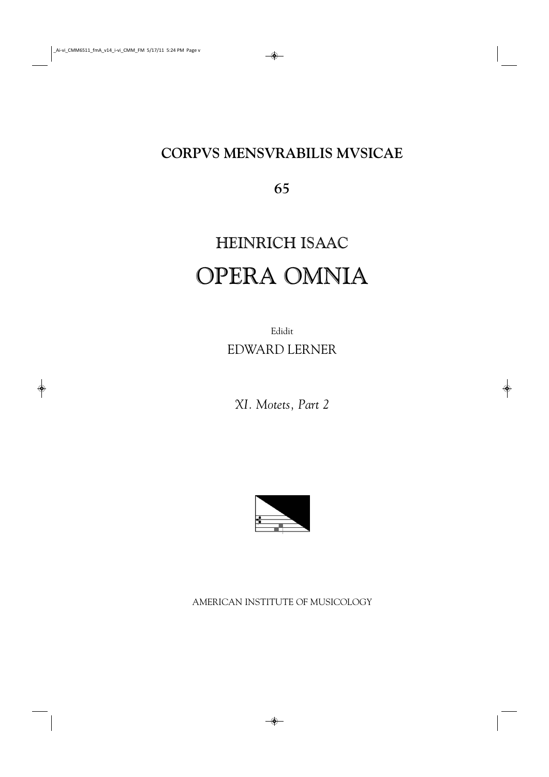# **CORPVS MENSVRABILIS MVSICAE**

**65**

# HEINRICH ISAAC OPERA OMNIA

Edidit EDWARD LERNER

*XI. Motets, Part 2*



AMERICAN INSTITUTE OF MUSICOLOGY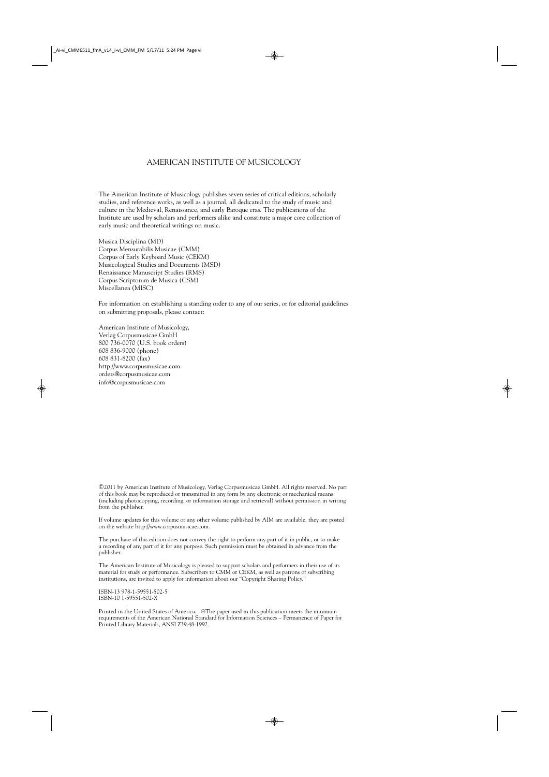#### AMERICAN INSTITUTE OF MUSICOLOGY

The American Institute of Musicology publishes seven series of critical editions, scholarly studies, and reference works, as well as a journal, all dedicated to the study of music and culture in the Medieval, Renaissance, and early Baroque eras. The publications of the Institute are used by scholars and performers alike and constitute a major core collection of early music and theoretical writings on music.

Musica Disciplina (MD) Corpus Mensurabilis Musicae (CMM) Corpus of Early Keyboard Music (CEKM) Musicological Studies and Documents (MSD) Renaissance Manuscript Studies (RMS) Corpus Scriptorum de Musica (CSM) Miscellanea (MISC)

For information on establishing a standing order to any of our series, or for editorial guidelines on submitting proposals, please contact:

American Institute of Musicology, Verlag Corpusmusicae GmbH 800 736-0070 (U.S. book orders) 608 836-9000 (phone) 608 831-8200 (fax) http://www.corpusmusicae.com orders@corpusmusicae.com info@corpusmusicae.com

©2011 by American Institute of Musicology, Verlag Corpusmusicae GmbH. All rights reserved. No part of this book may be reproduced or transmitted in any form by any electronic or mechanical means (including photocopying, recording, or information storage and retrieval) without permission in writing from the publisher.

If volume updates for this volume or any other volume published by AIM are available, they are posted on the website http://www.corpusmusicae.com.

The purchase of this edition does not convey the right to perform any part of it in public, or to make a recording of any part of it for any purpose. Such permission must be obtained in advance from the publisher.

The American Institute of Musicology is pleased to support scholars and performers in their use of its material for study or performance. Subscribers to CMM or CEKM, as well as patrons of subscribing institutions, are invited to apply for information about our "Copyright Sharing Policy."

ISBN-13 978-1-59551-502-5 ISBN-10 1-59551-502-X

Printed in the United States of America. @The paper used in this publication meets the minimum requirements of the American National Standard for Information Sciences – Permanence of Paper for Printed Library Materials, ANSI Z39.48-1992.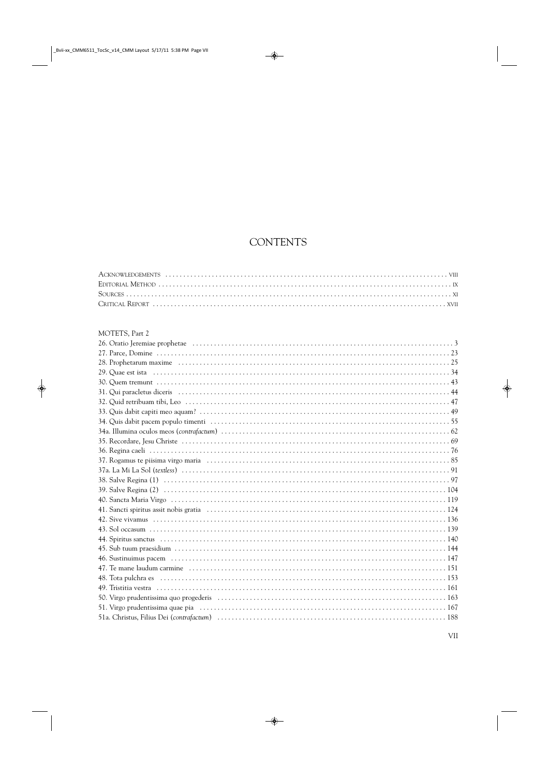## **CONTENTS**

| MOTETS, Part 2 |
|----------------|
|                |
|                |
|                |
|                |
|                |
|                |
|                |
|                |
|                |
|                |
|                |
|                |
|                |
|                |
|                |
|                |
|                |
|                |
|                |
|                |
|                |
|                |
|                |
|                |
|                |
|                |
|                |
|                |
|                |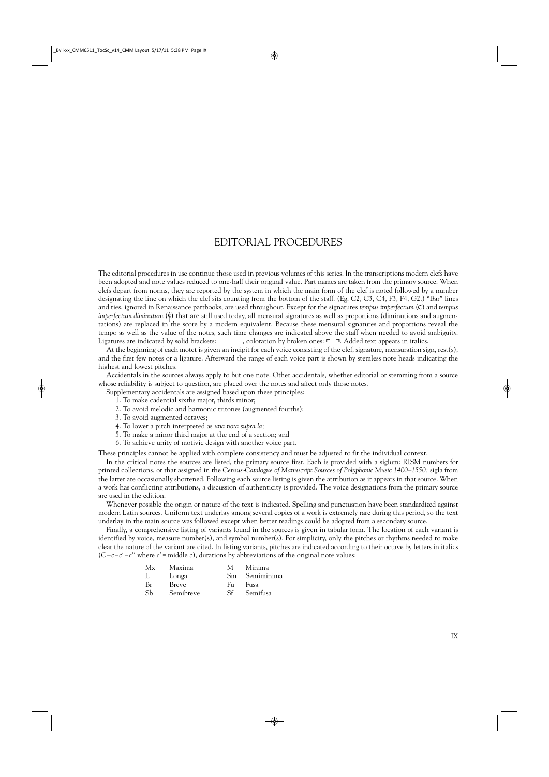### EDITORIAL PROCEDURES

The editorial procedures in use continue those used in previous volumes of this series. In the transcriptions modern clefs have been adopted and note values reduced to one-half their original value. Part names are taken from the primary source. When clefs depart from norms, they are reported by the system in which the main form of the clef is noted followed by a number designating the line on which the clef sits counting from the bottom of the staff. (Eg. C2, C3, C4, F3, F4, G2.) "Bar" lines and ties, ignored in Renaissance partbooks, are used throughout. Except for the signatures *tempus imperfectum* (C) and *tempus imperfectum diminutum* ( $\phi$ ) that are still used today, all mensural signatures as well as proportions (diminutions and augmentations) are replaced in the score by a modern equivalent. Because these mensural signatures and proportions reveal the tempo as well as the value of the notes, such time changes are indicated above the staff when needed to avoid ambiguity. Ligatures are indicated by solid brackets:  $\Box$ , coloration by broken ones:  $\Box$  Added text appears in italics.

At the beginning of each motet is given an incipit for each voice consisting of the clef, signature, mensuration sign, rest(s), and the first few notes or a ligature. Afterward the range of each voice part is shown by stemless note heads indicating the highest and lowest pitches.

Accidentals in the sources always apply to but one note. Other accidentals, whether editorial or stemming from a source whose reliability is subject to question, are placed over the notes and affect only those notes.

Supplementary accidentals are assigned based upon these principles:

- 1. To make cadential sixths major, thirds minor;
- 2. To avoid melodic and harmonic tritones (augmented fourths);
- 3. To avoid augmented octaves;
- 4. To lower a pitch interpreted as *una nota supra la;*
- 5. To make a minor third major at the end of a section; and
- 6. To achieve unity of motivic design with another voice part.

These principles cannot be applied with complete consistency and must be adjusted to fit the individual context.

In the critical notes the sources are listed, the primary source first. Each is provided with a siglum: RISM numbers for printed collections, or that assigned in the *Census-Catalogue of Manuscript Sources of Polyphonic Music 1400–1550;* sigla from the latter are occasionally shortened. Following each source listing is given the attribution as it appears in that source. When a work has conflicting attributions, a discussion of authenticity is provided. The voice designations from the primary source are used in the edition.

Whenever possible the origin or nature of the text is indicated. Spelling and punctuation have been standardized against modern Latin sources. Uniform text underlay among several copies of a work is extremely rare during this period, so the text underlay in the main source was followed except when better readings could be adopted from a secondary source.

Finally, a comprehensive listing of variants found in the sources is given in tabular form. The location of each variant is identified by voice, measure number(s), and symbol number(s). For simplicity, only the pitches or rhythms needed to make clear the nature of the variant are cited. In listing variants, pitches are indicated according to their octave by letters in italics (*C–c–c*′ *–c*′′ where *c*′= middle *c*), durations by abbreviations of the original note values:

| Maxima       | M.  | Minima        |
|--------------|-----|---------------|
| Longa        |     | Sm Semiminima |
| <b>Breve</b> | Fu. | Fusa          |
| Semibreve    | S£. | Semifusa      |
|              |     |               |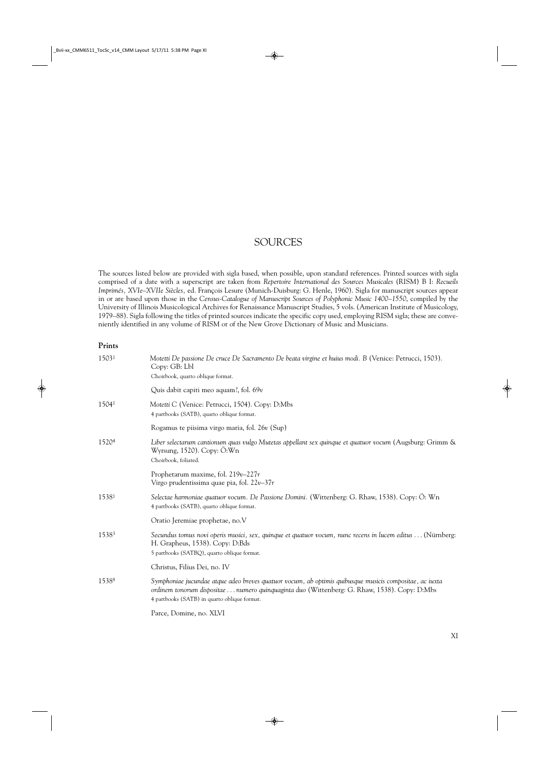### SOURCES

The sources listed below are provided with sigla based, when possible, upon standard references. Printed sources with sigla comprised of a date with a superscript are taken from *Repertoire International des Sources Musicales* (RISM) B I: *Recueils Imprimés, XVIe–XVIIe Siècles,* ed. François Lesure (Munich-Duisburg: G. Henle, 1960). Sigla for manuscript sources appear in or are based upon those in the *Census-Catalogue of Manuscript Sources of Polyphonic Music 1400–1550*, compiled by the University of Illinois Musicological Archives for Renaissance Manuscript Studies, 5 vols. (American Institute of Musicology, 1979–88). Sigla following the titles of printed sources indicate the specific copy used, employing RISM sigla; these are conveniently identified in any volume of RISM or of the New Grove Dictionary of Music and Musicians.

#### **Prints**

| 15031             | Motetti De passione De cruce De Sacramento De beata virgine et huius modi. B (Venice: Petrucci, 1503).<br>Copy: GB: Lbl<br>Choirbook, quarto oblique format.                                                                                           |
|-------------------|--------------------------------------------------------------------------------------------------------------------------------------------------------------------------------------------------------------------------------------------------------|
|                   | Quis dabit capiti meo aquam?, fol. $69v$                                                                                                                                                                                                               |
| 1504 <sup>1</sup> | Motetti C (Venice: Petrucci, 1504). Copy: D:Mbs<br>4 partbooks (SATB), quarto oblique format.                                                                                                                                                          |
|                   | Rogamus te piisima virgo maria, fol. 26v (Sup)                                                                                                                                                                                                         |
| 1520 <sup>4</sup> | Liber selectarum cantionum quas vulgo Mutetas appellant sex quinque et quatuor vocum (Augsburg: Grimm &<br>Wyrsung, 1520). Copy: Ö:Wn<br>Choirbook, foliated.                                                                                          |
|                   | Prophetarum maxime, fol. $219v-227r$<br>Virgo prudentissima quae pia, fol. $22v-37r$                                                                                                                                                                   |
| 15381             | Selectae harmoniae quatuor vocum. De Passione Domini. (Wittenberg: G. Rhaw, 1538). Copy: Ö: Wn<br>4 partbooks (SATB), quarto oblique format.                                                                                                           |
|                   | Oratio Jeremiae prophetae, no. V                                                                                                                                                                                                                       |
| 15383             | Secundus tomus novi operis musici, sex, quinque et quatuor vocum, nunc recens in lucem editus  (Nürnberg:<br>H. Grapheus, 1538). Copy: D:Bds<br>5 partbooks (SATBQ), quarto oblique format.                                                            |
|                   | Christus, Filius Dei, no. IV                                                                                                                                                                                                                           |
| 15388             | Symphoniae jucundae atque adeo breves quatuor vocum, ab optimis quibusque musicis compositae, ac iuxta<br>ordinem tonorum dispositae  numero quinquaginta duo (Wittenberg: G. Rhaw, 1538). Copy: D:Mbs<br>4 partbooks (SATB) in quarto oblique format. |
|                   | Parce, Domine, no. XLVI                                                                                                                                                                                                                                |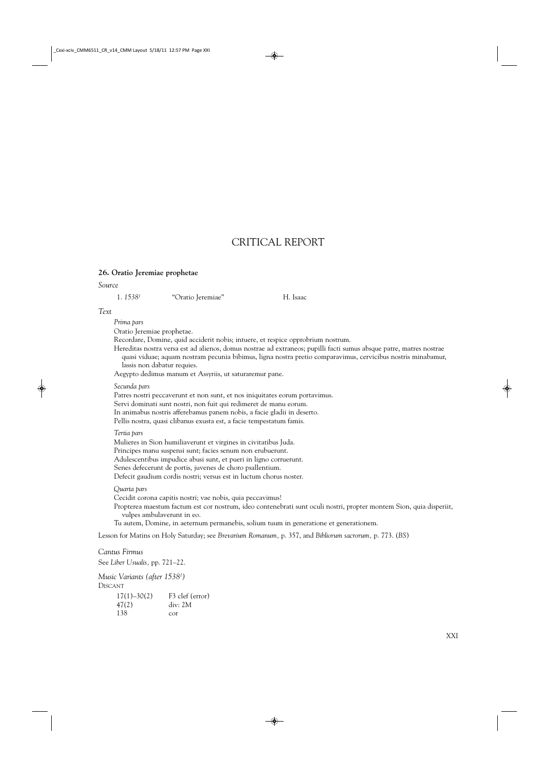## CRITICAL REPORT

#### **26. Oratio Jeremiae prophetae**

#### *Source*

1. 1538<sup>1</sup> "Oratio Jeremiae" H. Isaac

#### *Text*

*Prima pars*

Oratio Jeremiae prophetae.

Recordare, Domine, quid acciderit nobis; intuere, et respice opprobrium nostrum.

Hereditas nostra versa est ad alienos, domus nostrae ad extraneos; pupilli facti sumus absque patre, matres nostrae quasi viduae; aquam nostram pecunia bibimus, ligna nostra pretio comparavimus, cervicibus nostris minabamur, lassis non dabatur requies.

Aegypto dedimus manum et Assyriis, ut saturaremur pane.

#### *Secunda pars*

Patres nostri peccaverunt et non sunt, et nos iniquitates eorum portavimus.

Servi dominati sunt nostri, non fuit qui redimeret de manu eorum.

In animabus nostris afferebamus panem nobis, a facie gladii in deserto.

Pellis nostra, quasi clibanus exusta est, a facie tempestatum famis.

#### *Tertia pars*

Mulieres in Sion humiliaverunt et virgines in civitatibus Juda. Principes manu suspensi sunt; facies senum non erubuerunt. Adulescentibus impudice abusi sunt, et pueri in ligno corruerunt. Senes defecerunt de portis, juvenes de choro psallentium. Defecit gaudium cordis nostri; versus est in luctum chorus noster.

*Quarta pars*

Cecidit corona capitis nostri; vae nobis, quia peccavimus!

Propterea maestum factum est cor nostrum, ideo contenebrati sunt oculi nostri, propter montem Sion, quia disperiit, vulpes ambulaverunt in eo.

Tu autem, Domine, in aeternum permanebis, solium tuum in generatione et generationem.

Lesson for Matins on Holy Saturday; see *Brevarium Romanum,* p. 357, and *Bibliorum sacrorum,* p. 773. (*BS*)

*Cantus Firmus*

See *Liber Usualis,* pp. 721–22.

*Music Variants (after 15381 )* DISCANT

| $17(1) - 30(2)$ | F3 clef (error) |
|-----------------|-----------------|
| 47(2)           | div: 2M         |
| 138             | COL             |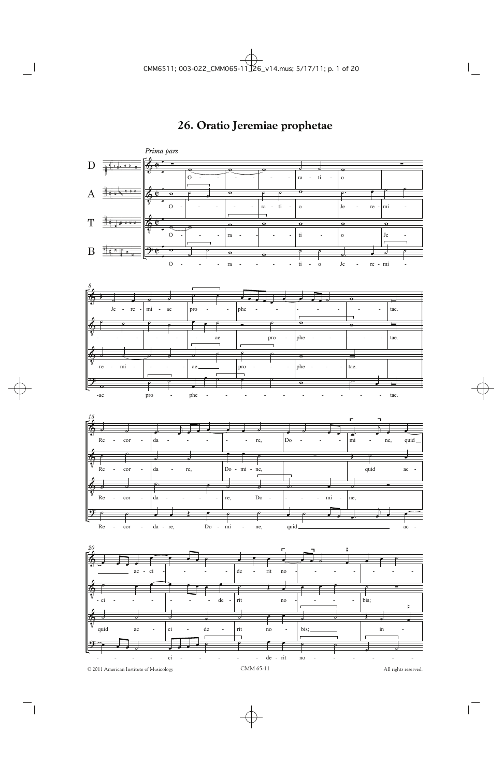## **26. Oratio Jeremiae prophetae**